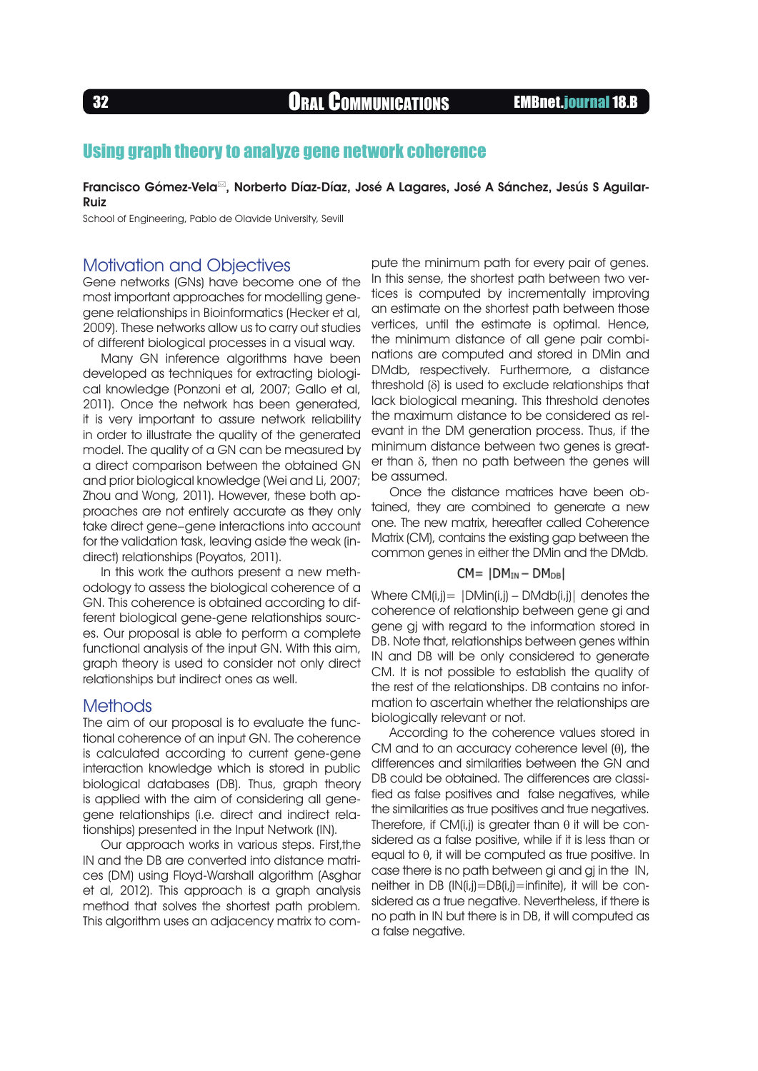<sup>32</sup> Oral Communications EMBnet.journal 18.B

# Using graph theory to analyze gene network coherence

Francisco Gómez-Vela<sup> $\Xi$ </sup>, Norberto Díaz-Díaz, José A Lagares, José A Sánchez, Jesús S Aguilar-Ruiz

School of Engineering, Pablo de Olavide University, Sevill

## Motivation and Objectives

Gene networks (GNs) have become one of the most important approaches for modelling genegene relationships in Bioinformatics (Hecker et al, 2009). These networks allow us to carry out studies of different biological processes in a visual way.

Many GN inference algorithms have been developed as techniques for extracting biological knowledge (Ponzoni et al, 2007; Gallo et al, 2011). Once the network has been generated, it is very important to assure network reliability in order to illustrate the quality of the generated model. The quality of a GN can be measured by a direct comparison between the obtained GN and prior biological knowledge (Wei and Li, 2007; Zhou and Wong, 2011). However, these both approaches are not entirely accurate as they only take direct gene–gene interactions into account for the validation task, leaving aside the weak (indirect) relationships (Poyatos, 2011).

In this work the authors present a new methodology to assess the biological coherence of a GN. This coherence is obtained according to different biological gene-gene relationships sources. Our proposal is able to perform a complete functional analysis of the input GN. With this aim, graph theory is used to consider not only direct relationships but indirect ones as well.

### **Methods**

The aim of our proposal is to evaluate the functional coherence of an input GN. The coherence is calculated according to current gene-gene interaction knowledge which is stored in public biological databases (DB). Thus, graph theory is applied with the aim of considering all genegene relationships (i.e. direct and indirect relationships) presented in the Input Network (IN).

Our approach works in various steps. First,the IN and the DB are converted into distance matrices (DM) using Floyd-Warshall algorithm (Asghar et al, 2012). This approach is a graph analysis method that solves the shortest path problem. This algorithm uses an adjacency matrix to compute the minimum path for every pair of genes. In this sense, the shortest path between two vertices is computed by incrementally improving an estimate on the shortest path between those vertices, until the estimate is optimal. Hence, the minimum distance of all gene pair combinations are computed and stored in DMin and DMdb, respectively. Furthermore, a distance threshold (δ) is used to exclude relationships that lack biological meaning. This threshold denotes the maximum distance to be considered as relevant in the DM generation process. Thus, if the minimum distance between two genes is greater than δ, then no path between the genes will be assumed.

Once the distance matrices have been obtained, they are combined to generate a new one. The new matrix, hereafter called Coherence Matrix (CM), contains the existing gap between the common genes in either the DMin and the DMdb.

### $CM = |DM_{IN} - DM_{DB}|$

Where  $CM(i,j) = |DMin(i,j) - DMdD(i,j)|$  denotes the coherence of relationship between gene gi and gene gj with regard to the information stored in DB. Note that, relationships between genes within IN and DB will be only considered to generate CM. It is not possible to establish the quality of the rest of the relationships. DB contains no information to ascertain whether the relationships are biologically relevant or not.

According to the coherence values stored in CM and to an accuracy coherence level (θ), the differences and similarities between the GN and DB could be obtained. The differences are classified as false positives and false negatives, while the similarities as true positives and true negatives. Therefore, if CM(i, i) is greater than  $\theta$  it will be considered as a false positive, while if it is less than or equal to θ, it will be computed as true positive. In case there is no path between ai and ai in the IN, neither in DB (IN(i,j)=DB(i,j)=infinite), it will be considered as a true negative. Nevertheless, if there is no path in IN but there is in DB, it will computed as a false negative.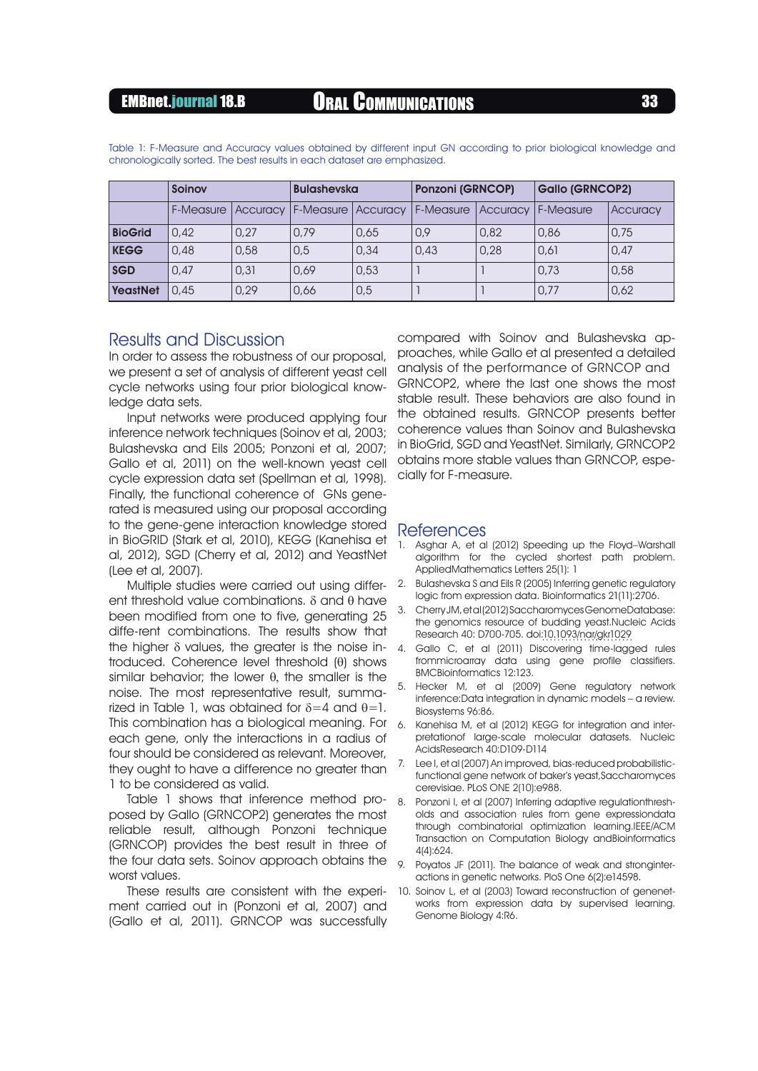|                 | Soinov    |      | <b>Bulashevska</b> |      | <b>Ponzoni (GRNCOP)</b>                     |                 | <b>Gallo (GRNCOP2)</b> |          |
|-----------------|-----------|------|--------------------|------|---------------------------------------------|-----------------|------------------------|----------|
|                 | F-Measure |      |                    |      | Accuracy   F-Measure   Accuracy   F-Measure | <b>Accuracy</b> | F-Measure              | Accuracy |
| <b>BioGrid</b>  | 0.42      | 0.27 | 0.79               | 0.65 | 0.9                                         | 0,82            | 0,86                   | 0.75     |
| <b>KEGG</b>     | 0.48      | 0,58 | 0.5                | 0,34 | 0.43                                        | 0.28            | 0.61                   | 0.47     |
| <b>SGD</b>      | 0.47      | 0.31 | 0.69               | 0.53 |                                             |                 | 0.73                   | 0,58     |
| <b>YeastNet</b> | 0.45      | 0.29 | 0.66               | 0,5  |                                             |                 | 0.77                   | 0.62     |

Table 1: F-Measure and Accuracy values obtained by different input GN according to prior biological knowledge and chronologically sorted. The best results in each dataset are emphasized.

### Results and Discussion

In order to assess the robustness of our proposal, we present a set of analysis of different yeast cell cycle networks using four prior biological knowledge data sets.

Input networks were produced applying four inference network techniques (Soinov et al, 2003; Bulashevska and Eils 2005; Ponzoni et al, 2007; Gallo et al, 2011) on the well-known yeast cell cycle expression data set (Spellman et al, 1998). Finally, the functional coherence of GNs generated is measured using our proposal according to the gene-gene interaction knowledge stored in BioGRID (Stark et al, 2010), KEGG (Kanehisa et al, 2012), SGD (Cherry et al, 2012) and YeastNet (Lee et al, 2007).

Multiple studies were carried out using different threshold value combinations. δ and θ have been modified from one to five, generating 25 diffe-rent combinations. The results show that the higher  $\delta$  values, the greater is the noise introduced. Coherence level threshold (θ) shows similar behavior; the lower  $\theta$ , the smaller is the noise. The most representative result, summarized in Table 1, was obtained for  $\delta = 4$  and  $\theta = 1$ . This combination has a biological meaning. For each gene, only the interactions in a radius of four should be considered as relevant. Moreover, they ought to have a difference no greater than 1 to be considered as valid.

Table 1 shows that inference method proposed by Gallo (GRNCOP2) generates the most reliable result, although Ponzoni technique (GRNCOP) provides the best result in three of the four data sets. Soinov approach obtains the  $\overline{9}$ worst values.

These results are consistent with the experiment carried out in (Ponzoni et al, 2007) and (Gallo et al, 2011). GRNCOP was successfully

compared with Soinov and Bulashevska approaches, while Gallo et al presented a detailed analysis of the performance of GRNCOP and GRNCOP2, where the last one shows the most stable result. These behaviors are also found in the obtained results. GRNCOP presents better coherence values than Soinov and Bulashevska in BioGrid, SGD and YeastNet. Similarly, GRNCOP2 obtains more stable values than GRNCOP, especially for F-measure.

### **References**

- Asghar A, et al (2012) Speeding up the Floyd-Warshall algorithm for the cycled shortest path problem. AppliedMathematics Letters 25(1): 1
- 2. Bulashevska S and Eils R (2005) Inferring genetic regulatory logic from expression data. Bioinformatics 21(11):2706.
- 3. Cherry JM, et al (2012) Saccharomyces GenomeDatabase: the genomics resource of budding yeast.Nucleic Acids Research 40: D700-705. doi[:10.1093/nar/gkr1029](http://dx.doi.org/10.1093/nar/gkr1029
)
- 4. Gallo C, et al (2011) Discovering time-lagged rules frommicroarray data using gene profile classifiers. BMCBioinformatics 12:123.
- 5. Hecker M, et al (2009) Gene regulatory network inference:Data integration in dynamic models – a review. Biosystems 96:86.
- 6. Kanehisa M, et al (2012) KEGG for integration and interpretationof large-scale molecular datasets. Nucleic AcidsResearch 40:D109-D114
- 7. Lee I, et al (2007) An improved, bias-reduced probabilisticfunctional gene network of baker's yeast,Saccharomyces cerevisiae. PLoS ONE 2(10):e988.
- 8. Ponzoni I, et al (2007) Inferring adaptive regulationthresholds and association rules from gene expressiondata through combinatorial optimization learning.IEEE/ACM Transaction on Computation Biology andBioinformatics 4(4):624.
- Poyatos JF (2011). The balance of weak and stronginteractions in genetic networks. PloS One 6(2):e14598.
- 10. Soinov L, et al (2003) Toward reconstruction of genenetworks from expression data by supervised learning. Genome Biology 4:R6.